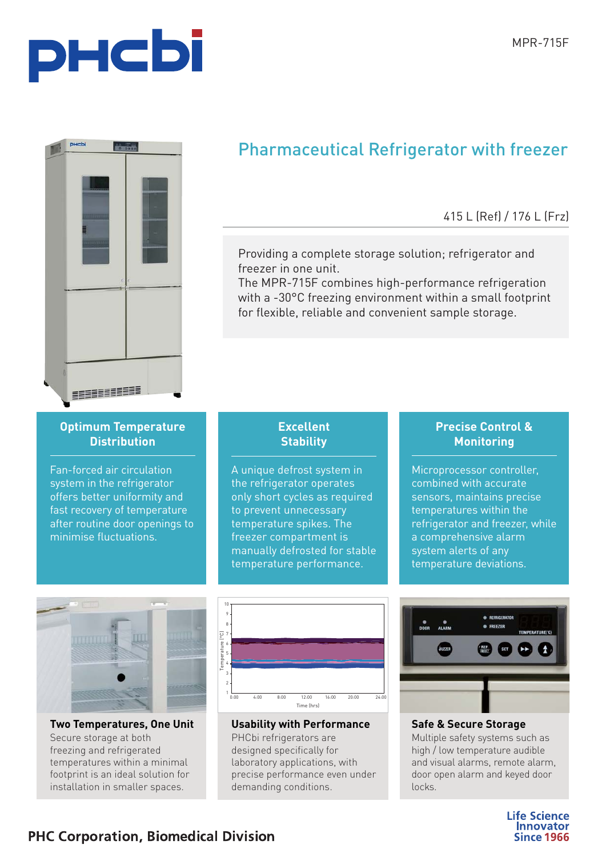



# Pharmaceutical Refrigerator with freezer

## 415 L (Ref) / 176 L (Frz)

Providing a complete storage solution; refrigerator and freezer in one unit.

The MPR-715F combines high-performance refrigeration with a -30°C freezing environment within a small footprint for flexible, reliable and convenient sample storage.

# **Optimum Temperature**

Fan-forced air circulation system in the refrigerator offers better uniformity and fast recovery of temperature after routine door openings to minimise fluctuations.

# **Excellent**

A unique defrost system in the refrigerator operates only short cycles as required to prevent unnecessary temperature spikes. The freezer compartment is manually defrosted for stable temperature performance.

## **Precise Control & Monitoring**

Microprocessor controller, combined with accurate sensors, maintains precise temperatures within the refrigerator and freezer, while a comprehensive alarm system alerts of any temperature deviations.



**The Temperature is the Unit of Temperature** freezing and refrigerated temperatures within a minimal footprint is an ideal solution for installation in smaller spaces.



**PHCbi refrigerators are** designed specifically for laboratory applications, with precise performance even under demanding conditions.



**Multiple safety systems such as** high / low temperature audible and visual alarms, remote alarm, door open alarm and keyed door locks.

> **Life Science Innovator Since 1966**

## **PHC Corporation, Biomedical Division**